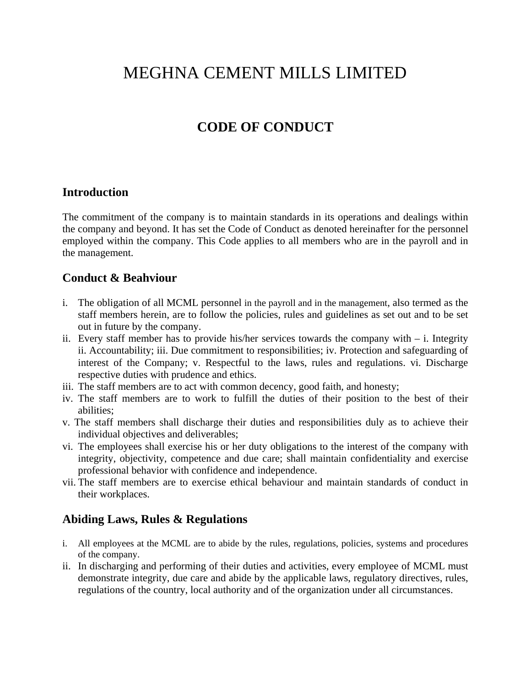# MEGHNA CEMENT MILLS LIMITED

# **CODE OF CONDUCT**

#### **Introduction**

The commitment of the company is to maintain standards in its operations and dealings within the company and beyond. It has set the Code of Conduct as denoted hereinafter for the personnel employed within the company. This Code applies to all members who are in the payroll and in the management.

#### **Conduct & Beahviour**

- i. The obligation of all MCML personnel in the payroll and in the management, also termed as the staff members herein, are to follow the policies, rules and guidelines as set out and to be set out in future by the company.
- ii. Every staff member has to provide his/her services towards the company with  $-$  i. Integrity ii. Accountability; iii. Due commitment to responsibilities; iv. Protection and safeguarding of interest of the Company; v. Respectful to the laws, rules and regulations. vi. Discharge respective duties with prudence and ethics.
- iii. The staff members are to act with common decency, good faith, and honesty;
- iv. The staff members are to work to fulfill the duties of their position to the best of their abilities;
- v. The staff members shall discharge their duties and responsibilities duly as to achieve their individual objectives and deliverables;
- vi. The employees shall exercise his or her duty obligations to the interest of the company with integrity, objectivity, competence and due care; shall maintain confidentiality and exercise professional behavior with confidence and independence.
- vii. The staff members are to exercise ethical behaviour and maintain standards of conduct in their workplaces.

#### **Abiding Laws, Rules & Regulations**

- i. All employees at the MCML are to abide by the rules, regulations, policies, systems and procedures of the company.
- ii. In discharging and performing of their duties and activities, every employee of MCML must demonstrate integrity, due care and abide by the applicable laws, regulatory directives, rules, regulations of the country, local authority and of the organization under all circumstances.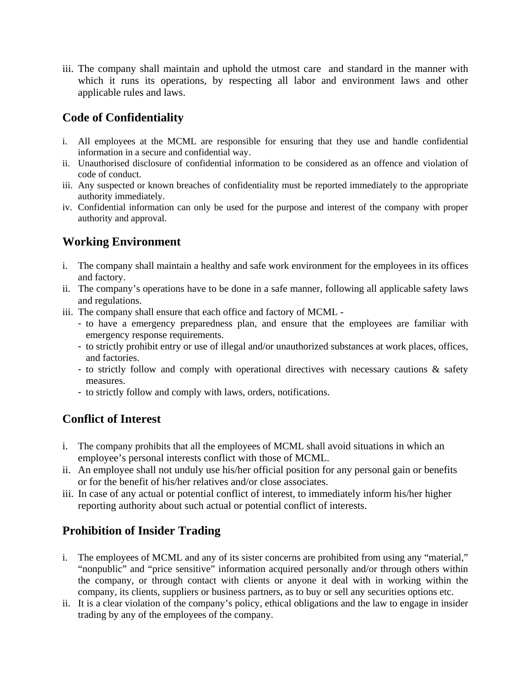iii. The company shall maintain and uphold the utmost care and standard in the manner with which it runs its operations, by respecting all labor and environment laws and other applicable rules and laws.

## **Code of Confidentiality**

- i. All employees at the MCML are responsible for ensuring that they use and handle confidential information in a secure and confidential way.
- ii. Unauthorised disclosure of confidential information to be considered as an offence and violation of code of conduct.
- iii. Any suspected or known breaches of confidentiality must be reported immediately to the appropriate authority immediately.
- iv. Confidential information can only be used for the purpose and interest of the company with proper authority and approval.

# **Working Environment**

- i. The company shall maintain a healthy and safe work environment for the employees in its offices and factory.
- ii. The company's operations have to be done in a safe manner, following all applicable safety laws and regulations.
- iii. The company shall ensure that each office and factory of MCML
	- to have a emergency preparedness plan, and ensure that the employees are familiar with emergency response requirements.
	- to strictly prohibit entry or use of illegal and/or unauthorized substances at work places, offices, and factories.
	- to strictly follow and comply with operational directives with necessary cautions & safety measures.
	- to strictly follow and comply with laws, orders, notifications.

# **Conflict of Interest**

- i. The company prohibits that all the employees of MCML shall avoid situations in which an employee's personal interests conflict with those of MCML.
- ii. An employee shall not unduly use his/her official position for any personal gain or benefits or for the benefit of his/her relatives and/or close associates.
- iii. In case of any actual or potential conflict of interest, to immediately inform his/her higher reporting authority about such actual or potential conflict of interests.

## **Prohibition of Insider Trading**

- i. The employees of MCML and any of its sister concerns are prohibited from using any "material," "nonpublic" and "price sensitive" information acquired personally and/or through others within the company, or through contact with clients or anyone it deal with in working within the company, its clients, suppliers or business partners, as to buy or sell any securities options etc.
- ii. It is a clear violation of the company's policy, ethical obligations and the law to engage in insider trading by any of the employees of the company.